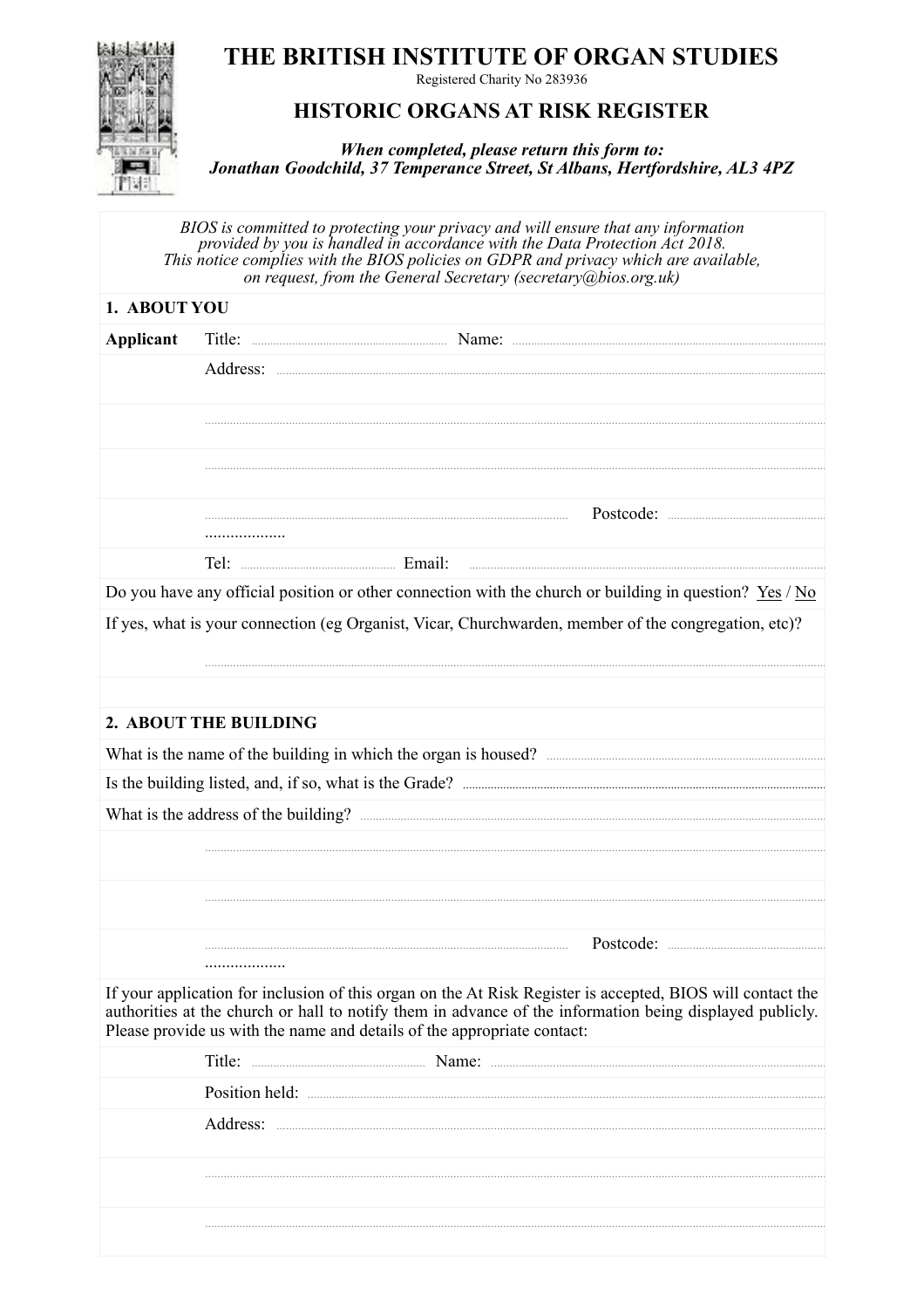## THE BRITISH INSTITUTE OF ORGAN STUDIES



Registered Charity No 283936

## **HISTORIC ORGANS AT RISK REGISTER**

When completed, please return this form to: Jonathan Goodchild, 37 Temperance Street, St Albans, Hertfordshire, AL3 4PZ

BIOS is committed to protecting your privacy and will ensure that any information<br>provided by you is handled in accordance with the Data Protection Act 2018. This notice complies with the BIOS policies on GDPR and privacy which are available, on request, from the General Secretary (secretary @bios.org.uk)

| 1. ABOUT YOU                                                                                                                                                                                                                                                                                      |                       |                                                                                                           |  |  |  |
|---------------------------------------------------------------------------------------------------------------------------------------------------------------------------------------------------------------------------------------------------------------------------------------------------|-----------------------|-----------------------------------------------------------------------------------------------------------|--|--|--|
| Applicant                                                                                                                                                                                                                                                                                         |                       |                                                                                                           |  |  |  |
|                                                                                                                                                                                                                                                                                                   |                       |                                                                                                           |  |  |  |
|                                                                                                                                                                                                                                                                                                   |                       |                                                                                                           |  |  |  |
|                                                                                                                                                                                                                                                                                                   |                       |                                                                                                           |  |  |  |
|                                                                                                                                                                                                                                                                                                   |                       |                                                                                                           |  |  |  |
|                                                                                                                                                                                                                                                                                                   |                       |                                                                                                           |  |  |  |
|                                                                                                                                                                                                                                                                                                   |                       |                                                                                                           |  |  |  |
|                                                                                                                                                                                                                                                                                                   | .                     |                                                                                                           |  |  |  |
|                                                                                                                                                                                                                                                                                                   |                       |                                                                                                           |  |  |  |
|                                                                                                                                                                                                                                                                                                   |                       | Do you have any official position or other connection with the church or building in question? $Yes / No$ |  |  |  |
| If yes, what is your connection (eg Organist, Vicar, Churchwarden, member of the congregation, etc)?                                                                                                                                                                                              |                       |                                                                                                           |  |  |  |
|                                                                                                                                                                                                                                                                                                   |                       |                                                                                                           |  |  |  |
|                                                                                                                                                                                                                                                                                                   |                       |                                                                                                           |  |  |  |
|                                                                                                                                                                                                                                                                                                   | 2. ABOUT THE BUILDING |                                                                                                           |  |  |  |
|                                                                                                                                                                                                                                                                                                   |                       |                                                                                                           |  |  |  |
|                                                                                                                                                                                                                                                                                                   |                       |                                                                                                           |  |  |  |
|                                                                                                                                                                                                                                                                                                   |                       |                                                                                                           |  |  |  |
|                                                                                                                                                                                                                                                                                                   |                       |                                                                                                           |  |  |  |
|                                                                                                                                                                                                                                                                                                   |                       |                                                                                                           |  |  |  |
|                                                                                                                                                                                                                                                                                                   |                       |                                                                                                           |  |  |  |
|                                                                                                                                                                                                                                                                                                   |                       |                                                                                                           |  |  |  |
|                                                                                                                                                                                                                                                                                                   |                       |                                                                                                           |  |  |  |
|                                                                                                                                                                                                                                                                                                   |                       |                                                                                                           |  |  |  |
| If your application for inclusion of this organ on the At Risk Register is accepted, BIOS will contact the<br>authorities at the church or hall to notify them in advance of the information being displayed publicly.<br>Please provide us with the name and details of the appropriate contact: |                       |                                                                                                           |  |  |  |
|                                                                                                                                                                                                                                                                                                   |                       |                                                                                                           |  |  |  |
|                                                                                                                                                                                                                                                                                                   |                       |                                                                                                           |  |  |  |
|                                                                                                                                                                                                                                                                                                   |                       |                                                                                                           |  |  |  |
|                                                                                                                                                                                                                                                                                                   |                       |                                                                                                           |  |  |  |
|                                                                                                                                                                                                                                                                                                   |                       |                                                                                                           |  |  |  |
|                                                                                                                                                                                                                                                                                                   |                       |                                                                                                           |  |  |  |
|                                                                                                                                                                                                                                                                                                   |                       |                                                                                                           |  |  |  |